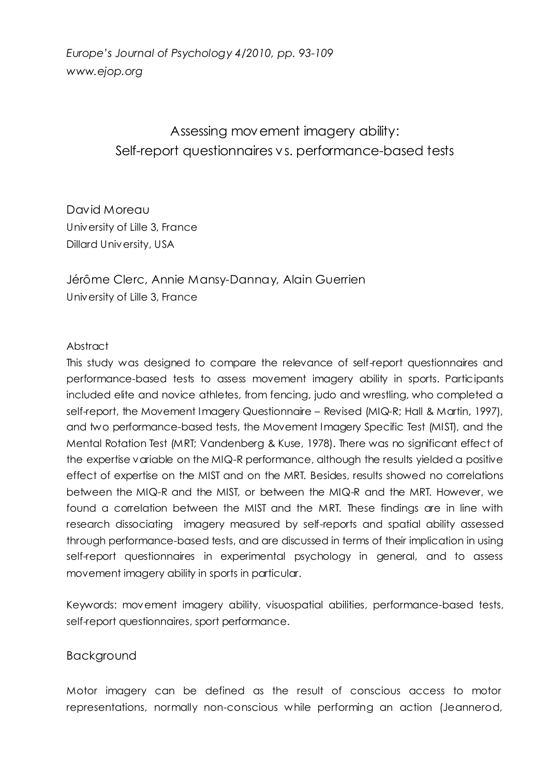*Europe's Journal of Psychology 4/2010, pp. 93-109 [www.ejop.org](http://www.ejop.org/)*

# Assessing movement imagery ability: Self-report questionnaires vs. performance-based tests

David Moreau University of Lille 3, France Dillard University, USA

Jérôme Clerc, Annie Mansy-Dannay, Alain Guerrien University of Lille 3, France

#### **Abstract**

This study was designed to compare the relevance of self-report questionnaires and performance-based tests to assess movement imagery ability in sports. Participants included elite and novice athletes, from fencing, judo and wrestling, who completed a self-report, the Movement Imagery Questionnaire – Revised (MIQ-R; Hall & Martin, 1997), and two performance-based tests, the Movement Imagery Specific Test (MIST), and the Mental Rotation Test (MRT; Vandenberg & Kuse, 1978). There was no significant effect of the expertise variable on the MIQ-R performance, although the results yielded a positive effect of expertise on the MIST and on the MRT. Besides, results showed no correlations between the MIQ-R and the MIST, or between the MIQ-R and the MRT. However, we found a correlation between the MIST and the MRT. These findings are in line with research dissociating imagery measured by self-reports and spatial ability assessed through performance-based tests, and are discussed in terms of their implication in using self-report questionnaires in experimental psychology in general, and to assess movement imagery ability in sports in particular.

Keywords: movement imagery ability, visuospatial abilities, performance-based tests, self-report questionnaires, sport performance.

## Background

Motor imagery can be defined as the result of conscious access to motor representations, normally non-conscious while performing an action (Jeannerod,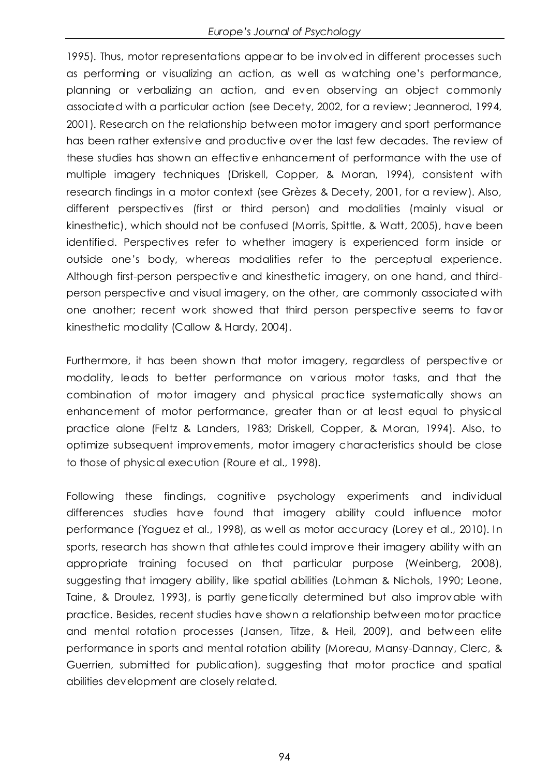1995). Thus, motor representations appear to be involved in different processes such as performing or visualizing an action, as well as watching one"s performance, planning or verbalizing an action, and even observing an object commonly associated with a particular action (see Decety, 2002, for a review; Jeannerod, 1994, 2001). Research on the relationship between motor imagery and sport performance has been rather extensive and productive over the last few decades. The review of these studies has shown an effective enhancement of performance with the use of multiple imagery techniques (Driskell, Copper, & Moran, 1994), consistent with research findings in a motor context (see Grèzes & Decety, 2001, for a review). Also, different perspectives (first or third person) and modalities (mainly visual or kinesthetic), which should not be confused (Morris, Spittle, & Watt, 2005), have been identified. Perspectives refer to whether imagery is experienced form inside or outside one"s body, whereas modalities refer to the perceptual experience. Although first-person perspective and kinesthetic imagery, on one hand, and thirdperson perspective and visual imagery, on the other, are commonly associated with one another; recent work showed that third person perspective seems to favor kinesthetic modality (Callow & Hardy, 2004).

Furthermore, it has been shown that motor imagery, regardless of perspective or modality, leads to better performance on various motor tasks, and that the combination of motor imagery and physical practice systematically shows an enhancement of motor performance, greater than or at least equal to physical practice alone (Feltz & Landers, 1983; Driskell, Copper, & Moran, 1994). Also, to optimize subsequent improvements, motor imagery characteristics should be close to those of physical execution (Roure et al., 1998).

Following these findings, cognitive psychology experiments and individual differences studies have found that imagery ability could influence motor performance (Yaguez et al., 1998), as well as motor accuracy (Lorey et al., 2010). In sports, research has shown that athletes could improve their imagery ability with an appropriate training focused on that particular purpose (Weinberg, 2008), suggesting that imagery ability, like spatial abilities (Lohman & Nichols, 1990; Leone, Taine, & Droulez, 1993), is partly genetically determined but also improvable with practice. Besides, recent studies have shown a relationship between motor practice and mental rotation processes (Jansen, Titze, & Heil, 2009), and between elite performance in sports and mental rotation ability (Moreau, Mansy-Dannay, Clerc, & Guerrien, submitted for publication), suggesting that motor practice and spatial abilities development are closely related.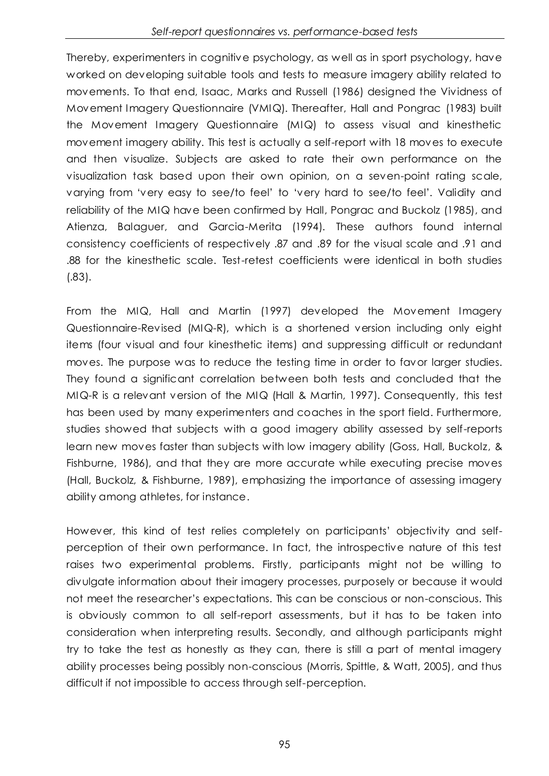Thereby, experimenters in cognitive psychology, as well as in sport psychology, have worked on developing suitable tools and tests to measure imagery ability related to movements. To that end, Isaac, Marks and Russell (1986) designed the Vividness of Movement Imagery Questionnaire (VMIQ). Thereafter, Hall and Pongrac (1983) built the Movement Imagery Questionnaire (MIQ) to assess visual and kinesthetic movement imagery ability. This test is actually a self-report with 18 moves to execute and then visualize. Subjects are asked to rate their own performance on the visualization task based upon their own opinion, on a seven-point rating scale, varying from "very easy to see/to feel" to "very hard to see/to feel". Validity and reliability of the MIQ have been confirmed by Hall, Pongrac and Buckolz (1985), and Atienza, Balaguer, and Garcia-Merita (1994). These authors found internal consistency coefficients of respectively .87 and .89 for the visual scale and .91 and .88 for the kinesthetic scale. Test-retest coefficients were identical in both studies (.83).

From the MIQ, Hall and Martin (1997) developed the Movement Imagery Questionnaire-Revised (MIQ-R), which is a shortened version including only eight items (four visual and four kinesthetic items) and suppressing difficult or redundant moves. The purpose was to reduce the testing time in order to favor larger studies. They found a significant correlation between both tests and concluded that the MIQ-R is a relevant version of the MIQ (Hall & Martin, 1997). Consequently, this test has been used by many experimenters and coaches in the sport field. Furthermore, studies showed that subjects with a good imagery ability assessed by self-reports learn new moves faster than subjects with low imagery ability (Goss, Hall, Buckolz, & Fishburne, 1986), and that they are more accurate while executing precise moves (Hall, Buckolz, & Fishburne, 1989), emphasizing the importance of assessing imagery ability among athletes, for instance.

However, this kind of test relies completely on participants' objectivity and selfperception of their own performance. In fact, the introspective nature of this test raises two experimental problems. Firstly, participants might not be willing to divulgate information about their imagery processes, purposely or because it would not meet the researcher"s expectations. This can be conscious or non-conscious. This is obviously common to all self-report assessments, but it has to be taken into consideration when interpreting results. Secondly, and although participants might try to take the test as honestly as they can, there is still a part of mental imagery ability processes being possibly non-conscious (Morris, Spittle, & Watt, 2005), and thus difficult if not impossible to access through self-perception.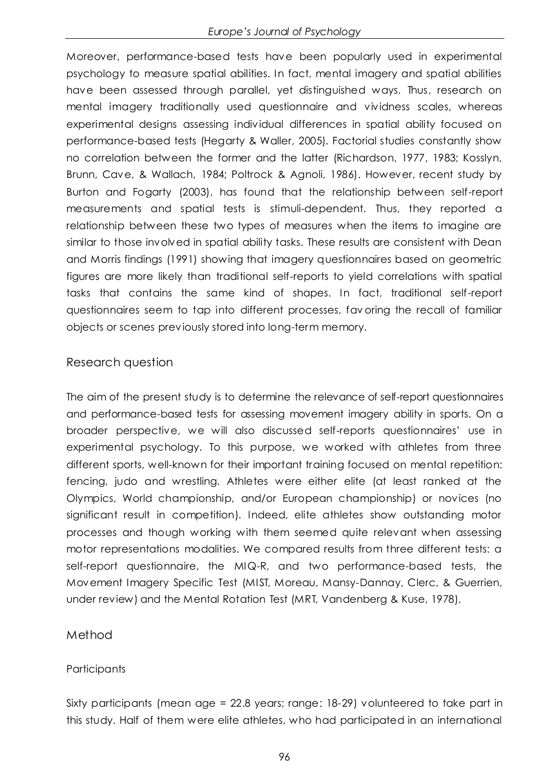Moreover, performance-based tests have been popularly used in experimental psychology to measure spatial abilities. In fact, mental imagery and spatial abilities have been assessed through parallel, yet distinguished ways. Thus, research on mental imagery traditionally used questionnaire and vividness scales, whereas experimental designs assessing individual differences in spatial ability focused on performance-based tests (Hegarty & Waller, 2005). Factorial studies constantly show no correlation between the former and the latter (Richardson, 1977, 1983; Kosslyn, Brunn, Cave, & Wallach, 1984; Poltrock & Agnoli, 1986). However, recent study by Burton and Fogarty (2003), has found that the relationship between self-report measurements and spatial tests is stimuli-dependent. Thus, they reported a relationship between these two types of measures when the items to imagine are similar to those involved in spatial ability tasks. These results are consistent with Dean and Morris findings (1991) showing that imagery questionnaires based on geometric figures are more likely than traditional self-reports to yield correlations with spatial tasks that contains the same kind of shapes. In fact, traditional self-report questionnaires seem to tap into different processes, fav oring the recall of familiar objects or scenes previously stored into long-term memory.

# Research question

The aim of the present study is to determine the relevance of self-report questionnaires and performance-based tests for assessing movement imagery ability in sports. On a broader perspective, we will also discussed self-reports questionnaires" use in experimental psychology. To this purpose, we worked with athletes from three different sports, well-known for their important training focused on mental repetition: fencing, judo and wrestling. Athletes were either elite (at least ranked at the Olympics, World championship, and/or European championship) or novices (no significant result in competition). Indeed, elite athletes show outstanding motor processes and though working with them seemed quite relevant when assessing motor representations modalities. We compared results from three different tests: a self-report questionnaire, the MIQ-R, and two performance-based tests, the Movement Imagery Specific Test (MIST, Moreau, Mansy-Dannay, Clerc, & Guerrien, under review) and the Mental Rotation Test (MRT, Vandenberg & Kuse, 1978).

## Method

## **Participants**

Sixty participants (mean age = 22.8 years; range: 18-29) volunteered to take part in this study. Half of them were elite athletes, who had participated in an international

96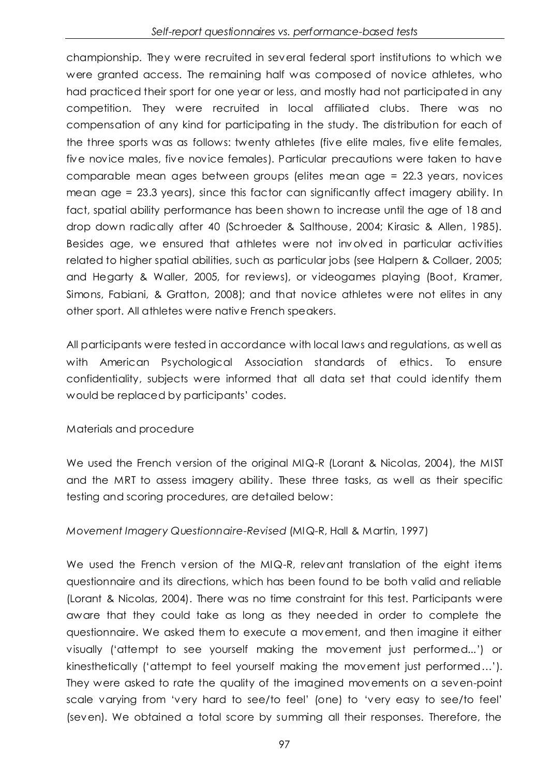championship. They were recruited in several federal sport institutions to which we were granted access. The remaining half was composed of novice athletes, who had practiced their sport for one year or less, and mostly had not participated in any competition. They were recruited in local affiliated clubs. There was no compensation of any kind for participating in the study. The distribution for each of the three sports was as follows: twenty athletes (five elite males, five elite females, five novice males, five novice females). Particular precautions were taken to have comparable mean ages between groups (elites mean age = 22.3 years, novices mean age = 23.3 years), since this factor can significantly affect imagery ability. In fact, spatial ability performance has been shown to increase until the age of 18 and drop down radically after 40 (Schroeder & Salthouse, 2004; Kirasic & Allen, 1985). Besides age, we ensured that athletes were not involved in particular activities related to higher spatial abilities, such as particular jobs (see Halpern & Collaer, 2005; and Hegarty & Waller, 2005, for reviews), or videogames playing (Boot, Kramer, Simons, Fabiani, & Gratton, 2008); and that novice athletes were not elites in any other sport. All athletes were native French speakers.

All participants were tested in accordance with local laws and regulations, as well as with American Psychological Association standards of ethics. To ensure confidentiality, subjects were informed that all data set that could identify them would be replaced by participants' codes.

## Materials and procedure

We used the French version of the original MIQ-R (Lorant & Nicolas, 2004), the MIST and the MRT to assess imagery ability. These three tasks, as well as their specific testing and scoring procedures, are detailed below:

## *Movement Imagery Questionnaire-Revised* (MIQ-R, Hall & Martin, 1997)

We used the French version of the MIQ-R, relevant translation of the eight items questionnaire and its directions, which has been found to be both valid and reliable (Lorant & Nicolas, 2004). There was no time constraint for this test. Participants were aware that they could take as long as they needed in order to complete the questionnaire. We asked them to execute a movement, and then imagine it either visually ("attempt to see yourself making the movement just performed...") or kinesthetically ("attempt to feel yourself making the movement just performed…"). They were asked to rate the quality of the imagined movements on a seven-point scale varying from "very hard to see/to feel" (one) to "very easy to see/to feel" (seven). We obtained a total score by summing all their responses. Therefore, the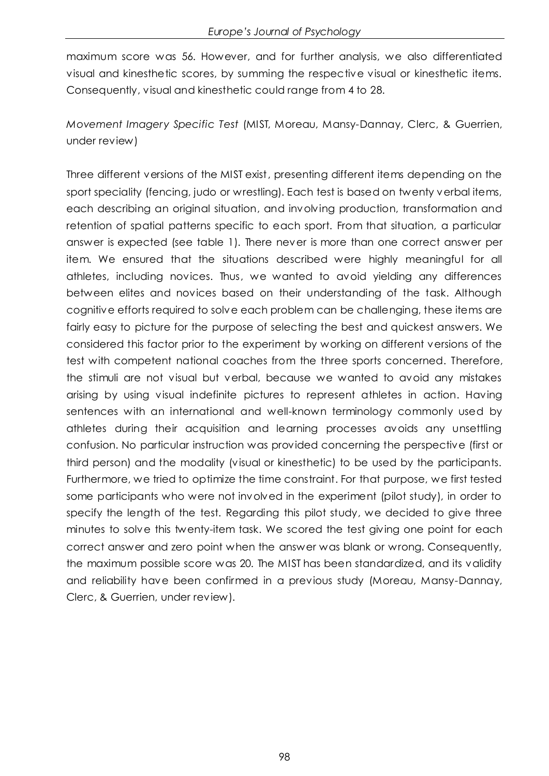maximum score was 56. However, and for further analysis, we also differentiated visual and kinesthetic scores, by summing the respective visual or kinesthetic items. Consequently, visual and kinesthetic could range from 4 to 28.

*Movement Imagery Specific Test* (MIST, Moreau, Mansy-Dannay, Clerc, & Guerrien, under review)

Three different versions of the MIST exist, presenting different items depending on the sport speciality (fencing, judo or wrestling). Each test is based on twenty verbal items, each describing an original situation, and involving production, transformation and retention of spatial patterns specific to each sport. From that situation, a particular answer is expected (see table 1). There never is more than one correct answer per item. We ensured that the situations described were highly meaningful for all athletes, including novices. Thus, we wanted to avoid yielding any differences between elites and novices based on their understanding of the task. Although cognitive efforts required to solve each problem can be challenging, these items are fairly easy to picture for the purpose of selecting the best and quickest answers. We considered this factor prior to the experiment by working on different versions of the test with competent national coaches from the three sports concerned. Therefore, the stimuli are not visual but verbal, because we wanted to avoid any mistakes arising by using visual indefinite pictures to represent athletes in action. Having sentences with an international and well-known terminology commonly used by athletes during their acquisition and learning processes avoids any unsettling confusion. No particular instruction was provided concerning the perspective (first or third person) and the modality (visual or kinesthetic) to be used by the participants. Furthermore, we tried to optimize the time constraint. For that purpose, we first tested some participants who were not involved in the experiment (pilot study), in order to specify the length of the test. Regarding this pilot study, we decided to give three minutes to solve this twenty-item task. We scored the test giving one point for each correct answer and zero point when the answer was blank or wrong. Consequently, the maximum possible score was 20. The MIST has been standardized, and its validity and reliability have been confirmed in a previous study (Moreau, Mansy-Dannay, Clerc, & Guerrien, under review).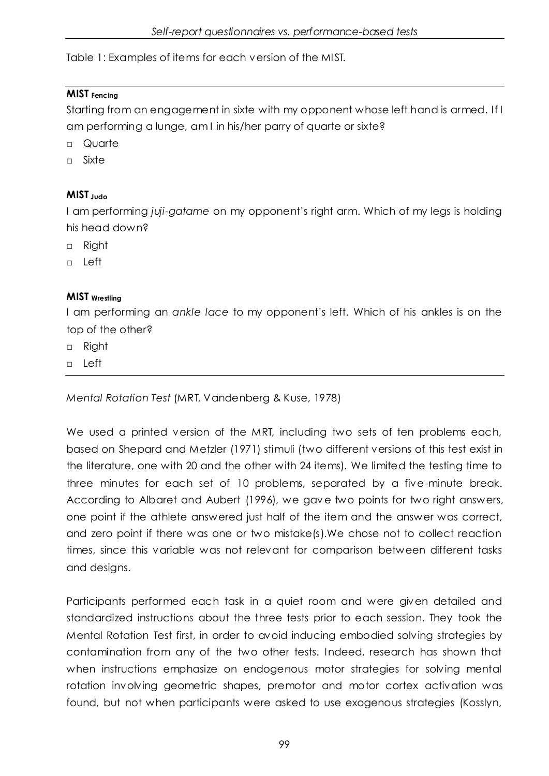Table 1: Examples of items for each version of the MIST.

#### **MIST Fencing**

Starting from an engagement in sixte with my opponent whose left hand is armed. If I am performing a lunge, am I in his/her parry of quarte or sixte?

- □ Quarte
- □ Sixte

#### **MIST Judo**

I am performing *juji-gatame* on my opponent"s right arm. Which of my legs is holding his head down?

- □ Right
- □ Left

#### **MIST Wrestling**

I am performing an *ankle lace* to my opponent"s left. Which of his ankles is on the top of the other?

□ Right

□ Left

*Mental Rotation Test* (MRT, Vandenberg & Kuse, 1978)

We used a printed version of the MRT, including two sets of ten problems each, based on Shepard and Metzler (1971) stimuli (two different versions of this test exist in the literature, one with 20 and the other with 24 items). We limited the testing time to three minutes for each set of 10 problems, separated by a five-minute break. According to Albaret and Aubert (1996), we gave two points for two right answers, one point if the athlete answered just half of the item and the answer was correct, and zero point if there was one or two mistake(s).We chose not to collect reaction times, since this variable was not relevant for comparison between different tasks and designs.

Participants performed each task in a quiet room and were given detailed and standardized instructions about the three tests prior to each session. They took the Mental Rotation Test first, in order to avoid inducing embodied solving strategies by contamination from any of the two other tests. Indeed, research has shown that when instructions emphasize on endogenous motor strategies for solving mental rotation involving geometric shapes, premotor and motor cortex activation was found, but not when participants were asked to use exogenous strategies (Kosslyn,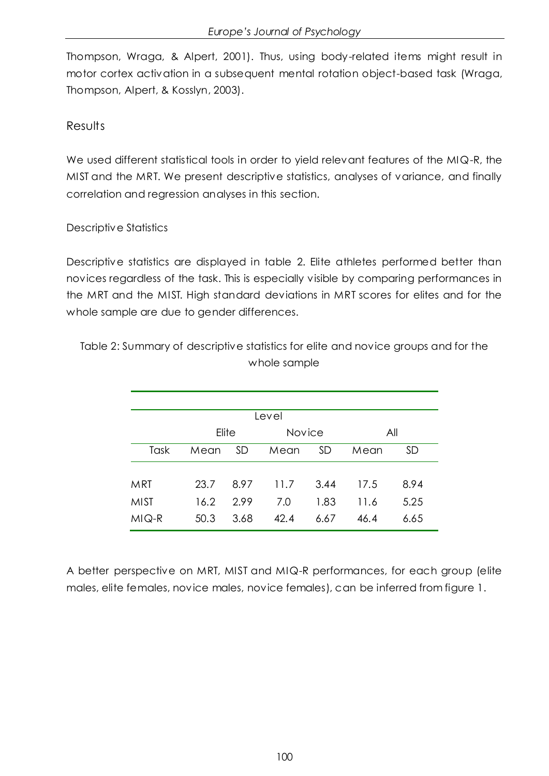Thompson, Wraga, & Alpert, 2001). Thus, using body-related items might result in motor cortex activation in a subsequent mental rotation object-based task (Wraga, Thompson, Alpert, & Kosslyn, 2003).

# Results

We used different statistical tools in order to yield relevant features of the MIQ-R, the MIST and the MRT. We present descriptive statistics, analyses of variance, and finally correlation and regression analyses in this section.

# Descriptive Statistics

Descriptive statistics are displayed in table 2. Elite athletes performed better than novices regardless of the task. This is especially visible by comparing performances in the MRT and the MIST. High standard deviations in MRT scores for elites and for the whole sample are due to gender differences.

| Level       |       |           |               |           |      |           |  |  |  |
|-------------|-------|-----------|---------------|-----------|------|-----------|--|--|--|
|             | Elite |           | <b>Novice</b> |           | All  |           |  |  |  |
| Task        | Mean  | <b>SD</b> | Mean          | <b>SD</b> | Mean | <b>SD</b> |  |  |  |
|             |       |           |               |           |      |           |  |  |  |
| MRT         | 23.7  | 8.97      | 11.7          | 3.44      | 17.5 | 8.94      |  |  |  |
| <b>MIST</b> | 16.2  | 2.99      | 7.0           | 1.83      | 11.6 | 5.25      |  |  |  |
| MIQ-R       | 50.3  | 3.68      | 42.4          | 6.67      | 46.4 | 6.65      |  |  |  |

Table 2: Summary of descriptive statistics for elite and novice groups and for the whole sample

A better perspective on MRT, MIST and MIQ-R performances, for each group (elite males, elite females, novice males, novice females), can be inferred from figure 1.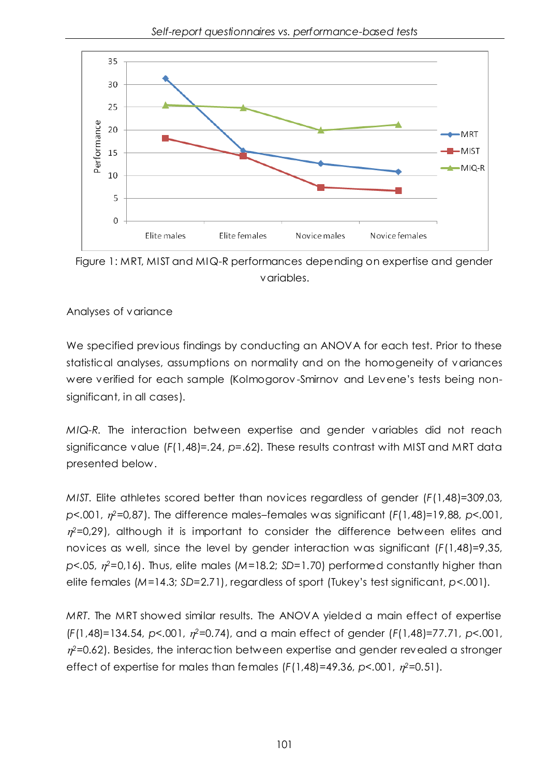*Self-report questionnaires vs. performance-based tests*



Figure 1: MRT, MIST and MIQ-R performances depending on expertise and gender variables.

#### Analyses of variance

We specified previous findings by conducting an ANOVA for each test. Prior to these statistical analyses, assumptions on normality and on the homogeneity of variances were verified for each sample (Kolmogorov -Smirnov and Levene"s tests being nonsignificant, in all cases).

*MIQ-R.* The interaction between expertise and gender variables did not reach significance value (*F*(1,48)=.24, *p*=.62). These results contrast with MIST and MRT data presented below.

*MIST.* Elite athletes scored better than novices regardless of gender (*F*(1,48)=309,03, *p*<.001, *<sup>2</sup>*=0,87). The difference males–females was significant (*F*(1,48)=19,88, *p*<.001,  $\eta^2$ =0,29), although it is important to consider the difference between elites and novices as well, since the level by gender interaction was significant (*F*(1,48)=9,35, *p*<.05,  $\eta^2$ =0,16). Thus, elite males (*M*=18.2; *SD*=1.70) performed constantly higher than elite females (*M*=14.3; *SD*=2.71), regardless of sport (Tukey"s test significant, *p*<.001).

*MRT.* The MRT showed similar results. The ANOVA yielded a main effect of expertise (*F*(1,48)=134.54, *p*<.001, *<sup>2</sup>*=0.74), and a main effect of gender (*F*(1,48)=77.71, *p*<.001,  $\eta^2$ =0.62). Besides, the interaction between expertise and gender revealed a stronger effect of expertise for males than females  $(F(1,48)=49.36, p<.001, \eta^2=0.51)$ .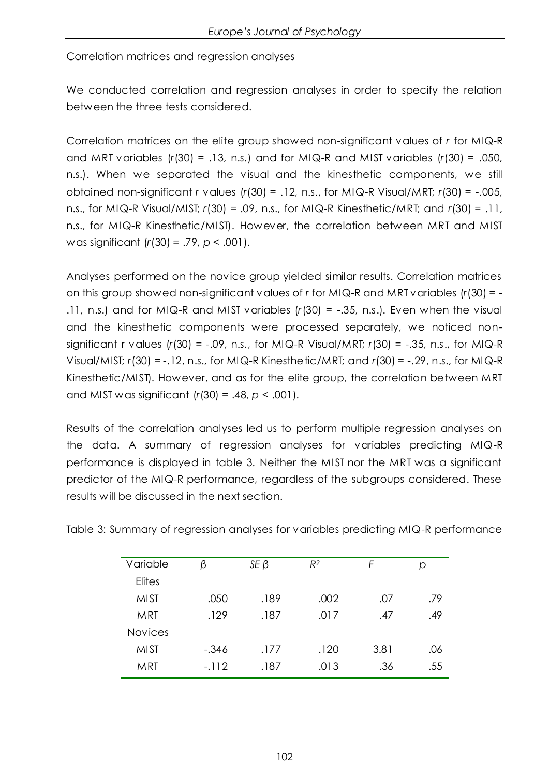Correlation matrices and regression analyses

We conducted correlation and regression analyses in order to specify the relation between the three tests considered.

Correlation matrices on the elite group showed non-significant values of *r* for MIQ-R and MRT variables (*r*(30) = .13, n.s.) and for MIQ-R and MIST variables (*r*(30) = .050, n.s.). When we separated the visual and the kinesthetic components, we still obtained non-significant *r* values (*r*(30) *=* .12, n.s., for MIQ-R Visual/MRT; *r*(30) = -.005, n.s., for MIQ-R Visual/MIST; *r*(30) *=* .09, n.s., for MIQ-R Kinesthetic/MRT; and *r*(30) *=* .11, n.s., for MIQ-R Kinesthetic/MIST). However, the correlation between MRT and MIST was significant (*r*(30) *=* .79, *p* < .001).

Analyses performed on the novice group yielded similar results. Correlation matrices on this group showed non-significant values of *r* for MIQ-R and MRT variables (*r*(30) = - .11, n.s.) and for MIQ-R and MIST variables (*r*(30) = -.35, n.s.). Even when the visual and the kinesthetic components were processed separately, we noticed nonsignificant r values (*r*(30) = *-*.09, n.s., for MIQ-R Visual/MRT; *r*(30) = -.35, n.s., for MIQ-R Visual/MIST; *r*(30) = *-*.12, n.s., for MIQ-R Kinesthetic/MRT; and *r*(30) = *-*.29, n.s., for MIQ-R Kinesthetic/MIST). However, and as for the elite group, the correlation between MRT and MIST was significant (*r*(30) = .48, *p* < .001).

Results of the correlation analyses led us to perform multiple regression analyses on the data. A summary of regression analyses for variables predicting MIQ-R performance is displayed in table 3. Neither the MIST nor the MRT was a significant predictor of the MIQ-R performance, regardless of the subgroups considered. These results will be discussed in the next section.

| Variable       | β       | $SE$ $\beta$ | R <sup>2</sup> | F    | р   |
|----------------|---------|--------------|----------------|------|-----|
| <b>Elites</b>  |         |              |                |      |     |
| <b>MIST</b>    | .050    | .189         | .002           | .07  | .79 |
| MRT            | .129    | .187         | .017           | .47  | .49 |
| <b>Novices</b> |         |              |                |      |     |
| <b>MIST</b>    | $-.346$ | .177         | .120           | 3.81 | .06 |
| MRT            | $-112$  | .187         | .013           | .36  | .55 |

Table 3: Summary of regression analyses for variables predicting MIQ-R performance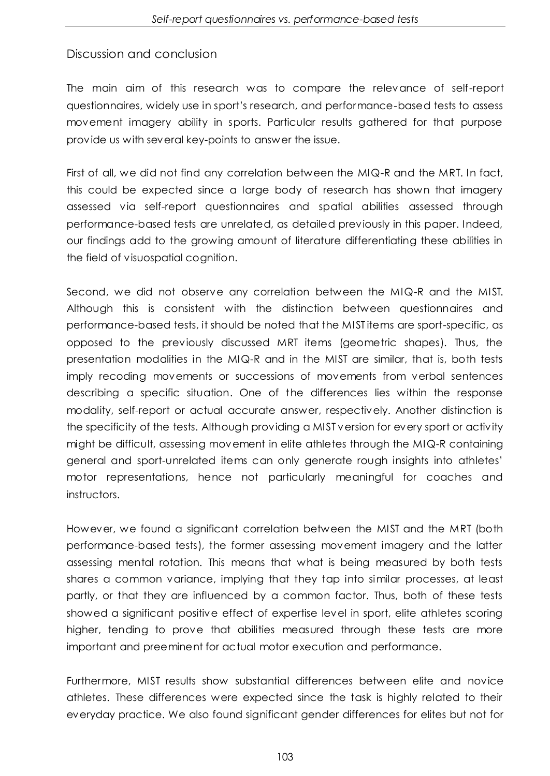# Discussion and conclusion

The main aim of this research was to compare the relevance of self-report questionnaires, widely use in sport"s research, and performance-based tests to assess movement imagery ability in sports. Particular results gathered for that purpose provide us with several key-points to answer the issue.

First of all, we did not find any correlation between the MIQ-R and the MRT. In fact, this could be expected since a large body of research has shown that imagery assessed via self-report questionnaires and spatial abilities assessed through performance-based tests are unrelated, as detailed previously in this paper. Indeed, our findings add to the growing amount of literature differentiating these abilities in the field of visuospatial cognition.

Second, we did not observe any correlation between the MIQ-R and the MIST. Although this is consistent with the distinction between questionnaires and performance-based tests, it should be noted that the MIST items are sport-specific, as opposed to the previously discussed MRT items (geometric shapes). Thus, the presentation modalities in the MIQ-R and in the MIST are similar, that is, both tests imply recoding movements or successions of movements from verbal sentences describing a specific situation. One of the differences lies within the response modality, self-report or actual accurate answer, respectively. Another distinction is the specificity of the tests. Although providing a MIST version for every sport or activity might be difficult, assessing movement in elite athletes through the MIQ-R containing general and sport-unrelated items can only generate rough insights into athletes" motor representations, hence not particularly meaningful for coaches and instructors.

However, we found a significant correlation between the MIST and the MRT (both performance-based tests), the former assessing movement imagery and the latter assessing mental rotation. This means that what is being measured by both tests shares a common variance, implying that they tap into similar processes, at least partly, or that they are influenced by a common factor. Thus, both of these tests showed a significant positive effect of expertise level in sport, elite athletes scoring higher, tending to prove that abilities measured through these tests are more important and preeminent for actual motor execution and performance.

Furthermore, MIST results show substantial differences between elite and novice athletes. These differences were expected since the task is highly related to their everyday practice. We also found significant gender differences for elites but not for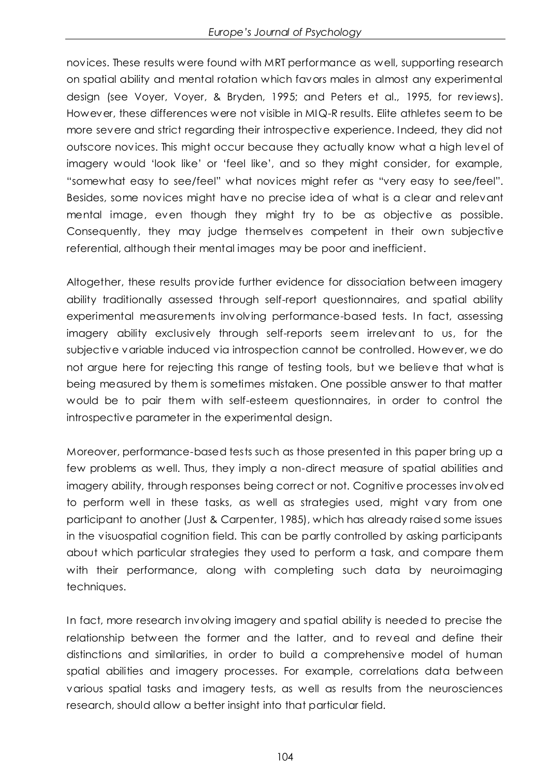novices. These results were found with MRT performance as well, supporting research on spatial ability and mental rotation which favors males in almost any experimental design (see Voyer, Voyer, & Bryden, 1995; and Peters et al., 1995, for reviews). However, these differences were not visible in MIQ-R results. Elite athletes seem to be more severe and strict regarding their introspective experience. Indeed, they did not outscore novices. This might occur because they actually know what a high level of imagery would "look like" or "feel like", and so they might consider, for example, "somewhat easy to see/feel" what novices might refer as "very easy to see/feel". Besides, some novices might have no precise idea of what is a clear and relevant mental image, even though they might try to be as objective as possible. Consequently, they may judge themselves competent in their own subjective referential, although their mental images may be poor and inefficient.

Altogether, these results provide further evidence for dissociation between imagery ability traditionally assessed through self-report questionnaires, and spatial ability experimental measurements involving performance-based tests. In fact, assessing imagery ability exclusively through self-reports seem irrelevant to us, for the subjective variable induced via introspection cannot be controlled. However, we do not argue here for rejecting this range of testing tools, but we believe that what is being measured by them is sometimes mistaken. One possible answer to that matter would be to pair them with self-esteem questionnaires, in order to control the introspective parameter in the experimental design.

Moreover, performance-based tests such as those presented in this paper bring up a few problems as well. Thus, they imply a non-direct measure of spatial abilities and imagery ability, through responses being correct or not. Cognitive processes involved to perform well in these tasks, as well as strategies used, might vary from one participant to another (Just & Carpenter, 1985), which has already raised some issues in the visuospatial cognition field. This can be partly controlled by asking participants about which particular strategies they used to perform a task, and compare them with their performance, along with completing such data by neuroimaging techniques.

In fact, more research involving imagery and spatial ability is needed to precise the relationship between the former and the latter, and to reveal and define their distinctions and similarities, in order to build a comprehensive model of human spatial abilities and imagery processes. For example, correlations data between various spatial tasks and imagery tests, as well as results from the neurosciences research, should allow a better insight into that particular field.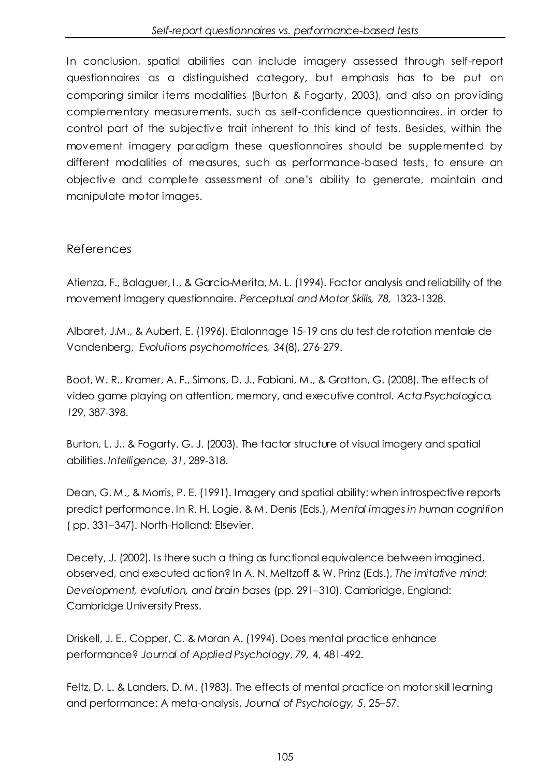In conclusion, spatial abilities can include imagery assessed through self-report questionnaires as a distinguished category, but emphasis has to be put on comparing similar items modalities (Burton & Fogarty, 2003), and also on providing complementary measurements, such as self-confidence questionnaires, in order to control part of the subjective trait inherent to this kind of tests. Besides, within the movement imagery paradigm these questionnaires should be supplemented by different modalities of measures, such as performance-based tests, to ensure an objective and complete assessment of one"s ability to generate, maintain and manipulate motor images.

# References

Atienza, F., Balaguer, I., & Garcia-Merita, M. L. (1994). Factor analysis and reliability of the movement imagery questionnaire*. Perceptual and Motor Skills, 78,* 1323-1328.

Albaret, J.M., & Aubert, E. (1996). Etalonnage 15-19 ans du test de rotation mentale de Vandenberg, *Evolutions psychomotrices, 34*(8), 276-279.

Boot, W. R., Kramer, A. F., Simons, D. J., Fabiani, M., & Gratton, G. (2008). The effects of video game playing on attention, memory, and executive control. *Acta Psychologica, 129*, 387-398.

Burton, L. J., & Fogarty, G. J. (2003). The factor structure of visual imagery and spatial abilities. *Intelligence, 31*, 289-318.

Dean, G. M., & Morris, P. E. (1991). Imagery and spatial ability: when introspective reports predict performance. In R. H. Logie, & M. Denis (Eds.), *Mental images in human cognition* ( pp. 331–347). North-Holland: Elsevier.

Decety, J. (2002). Is there such a thing as functional equivalence between imagined, observed, and executed action? In A. N. Meltzoff & W. Prinz (Eds.), *The imitative mind: Development, evolution, and brain bases* (pp. 291–310). Cambridge, England: Cambridge University Press.

Driskell, J. E., Copper, C. & Moran A. (1994). Does mental practice enhance performance? *Journal of Applied Psychology*, *79,* 4, 481-492.

Feltz, D. L. & Landers, D. M. (1983). The effects of mental practice on motor skill learning and performance: A meta-analysis, *Journal of Psychology, 5*, 25–57.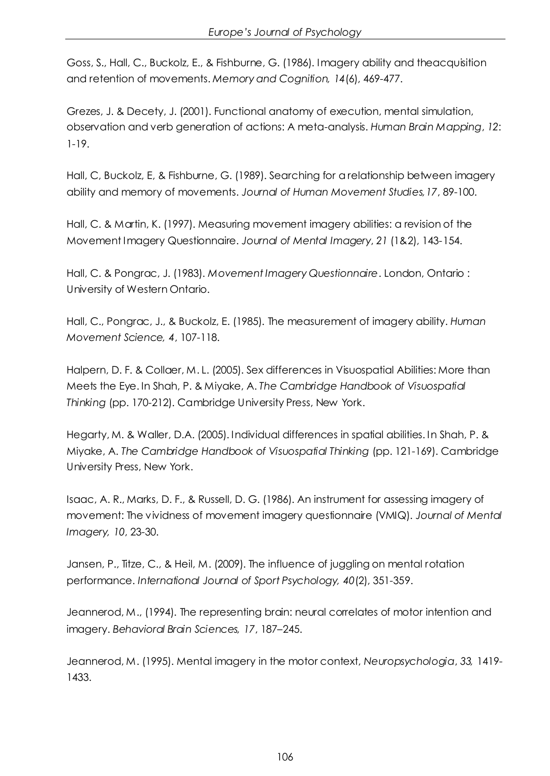Goss, S., Hall, C., Buckolz, E., & Fishburne, G. (1986). Imagery ability and theacquisition and retention of movements. *Memory and Cognition, 14*(6), 469-477.

Grezes, J. & Decety, J. (2001). Functional anatomy of execution, mental simulation, observation and verb generation of actions: A meta-analysis. *Human Brain Mapping*, *12*: 1-19.

Hall, C, Buckolz, E, & Fishburne, G. (1989). Searching for a relationship between imagery ability and memory of movements. *Journal of Human Movement Studies,17*, 89-100.

Hall, C. & Martin, K. (1997). Measuring movement imagery abilities: a revision of the Movement Imagery Questionnaire. *Journal of Mental Imagery*, *21* (1&2), 143-154.

Hall, C. & Pongrac, J. (1983). *Movement Imagery Questionnaire*. London, Ontario : University of Western Ontario.

Hall, C., Pongrac, J., & Buckolz, E. (1985). The measurement of imagery ability. *Human Movement Science, 4*, 107-118.

Halpern, D. F. & Collaer, M. L. (2005). Sex differences in Visuospatial Abilities: More than Meets the Eye. In Shah, P. & Miyake, A. *The Cambridge Handbook of Visuospatial Thinking* (pp. 170-212). Cambridge University Press, New York.

Hegarty, M. & Waller, D.A. (2005). Individual differences in spatial abilities. In Shah, P. & Miyake, A. *The Cambridge Handbook of Visuospatial Thinking* (pp. 121-169). Cambridge University Press, New York.

Isaac, A. R., Marks, D. F., & Russell, D. G. (1986). An instrument for assessing imagery of movement: The vividness of movement imagery questionnaire (VMIQ). *Journal of Mental Imagery, 10*, 23-30.

Jansen, P., Titze, C., & Heil, M. (2009). The influence of juggling on mental rotation performance. *International Journal of Sport Psychology, 40*(2), 351-359.

Jeannerod, M., (1994). The representing brain: neural correlates of motor intention and imagery. *Behavioral Brain Sciences, 17*, 187–245.

Jeannerod, M. (1995). Mental imagery in the motor context, *Neuropsychologia*, *33,* 1419- 1433.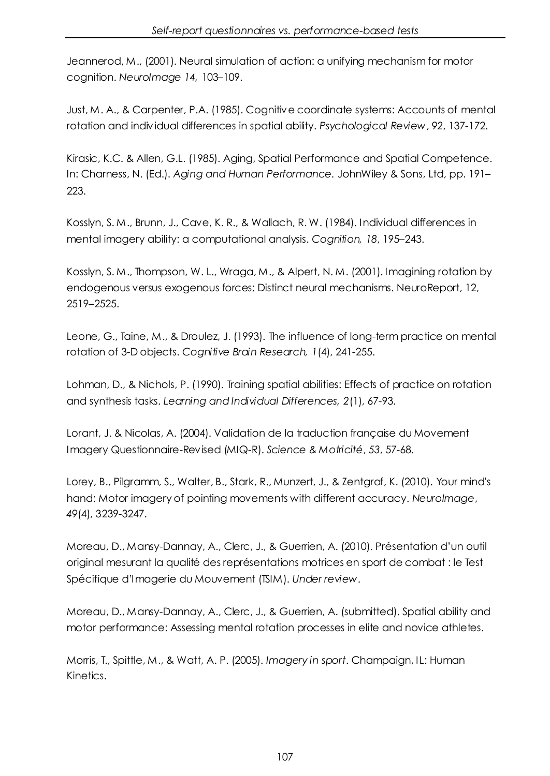Jeannerod, M., (2001). Neural simulation of action: a unifying mechanism for motor cognition. *NeuroImage 14,* 103–109.

Just, M. A., & Carpenter, P.A. (1985). Cognitive coordinate systems: Accounts of mental rotation and individual differences in spatial ability. *Psychological Review*, *92*, 137-172.

Kirasic, K.C. & Allen, G.L. (1985). Aging, Spatial Performance and Spatial Competence. In: Charness, N. (Ed.). *Aging and Human Performance.* JohnWiley & Sons, Ltd, pp. 191– 223.

Kosslyn, S. M., Brunn, J., Cave, K. R., & Wallach, R. W. (1984). Individual differences in mental imagery ability: a computational analysis. *Cognition, 18*, 195–243.

Kosslyn, S. M., Thompson, W. L., Wraga, M., & Alpert, N. M. (2001). Imagining rotation by endogenous versus exogenous forces: Distinct neural mechanisms. NeuroReport, 12, 2519–2525.

Leone, G., Taine, M., & Droulez, J. (1993). The influence of long-term practice on mental rotation of 3-D objects. *Cognitive Brain Research, 1*(4), 241-255.

Lohman, D., & Nichols, P. (1990). Training spatial abilities: Effects of practice on rotation and synthesis tasks. *Learning and Individual Differences, 2*(1), 67-93.

Lorant, J. & Nicolas, A. (2004). Validation de la traduction française du Movement Imagery Questionnaire-Revised (MIQ-R). *Science & Motricité*, *53*, 57-68.

Lorey, B., Pilgramm, S., Walter, B., Stark, R., Munzert, J., & Zentgraf, K. (2010). Your mind's hand: Motor imagery of pointing movements with different accuracy. *NeuroImage*, *49*(4), 3239-3247.

Moreau, D., Mansy-Dannay, A., Clerc, J., & Guerrien, A. (2010). Présentation d"un outil original mesurant la qualité des représentations motrices en sport de combat : le Test Spécifique d"Imagerie du Mouvement (TSIM). *Under review*.

Moreau, D., Mansy-Dannay, A., Clerc, J., & Guerrien, A. (submitted). Spatial ability and motor performance: Assessing mental rotation processes in elite and novice athletes.

Morris, T., Spittle, M., & Watt, A. P. (2005). *Imagery in sport*. Champaign, IL: Human Kinetics.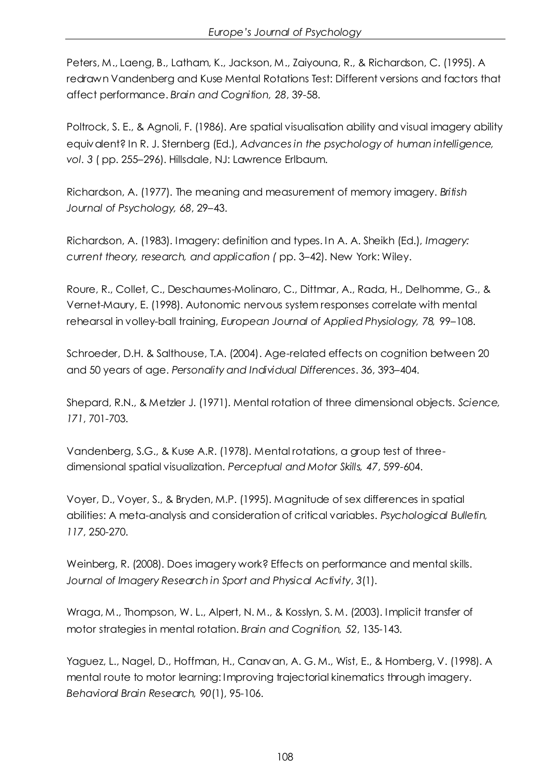Peters, M., Laeng, B., Latham, K., Jackson, M., Zaiyouna, R., & Richardson, C. (1995). A redrawn Vandenberg and Kuse Mental Rotations Test: Different versions and factors that affect performance. *Brain and Cognition, 28*, 39-58.

Poltrock, S. E., & Agnoli, F. (1986). Are spatial visualisation ability and visual imagery ability equivalent? In R. J. Sternberg (Ed.), *Advances in the psychology of human intelligence, vol. 3* ( pp. 255–296). Hillsdale, NJ: Lawrence Erlbaum.

Richardson, A. (1977). The meaning and measurement of memory imagery. *British Journal of Psychology, 68*, 29–43.

Richardson, A. (1983). Imagery: definition and types. In A. A. Sheikh (Ed.), *Imagery: current theory, research, and application (* pp. 3–42). New York: Wiley.

Roure, R., Collet, C., Deschaumes-Molinaro, C., Dittmar, A., Rada, H., Delhomme, G., & Vernet-Maury, E. (1998). Autonomic nervous system responses correlate with mental rehearsal in volley-ball training, *European Journal of Applied Physiology, 78,* 99–108.

Schroeder, D.H. & Salthouse, T.A. (2004). Age-related effects on cognition between 20 and 50 years of age. *Personality and Individual Differences*. *36*, 393–404.

Shepard, R.N., & Metzler J. (1971). Mental rotation of three dimensional objects. *Science, 171*, 701-703.

Vandenberg, S.G., & Kuse A.R. (1978). Mental rotations, a group test of threedimensional spatial visualization. *Perceptual and Motor Skills, 47*, 599-604.

Voyer, D., Voyer, S., & Bryden, M.P. (1995). Magnitude of sex differences in spatial abilities: A meta-analysis and consideration of critical variables. *Psychological Bulletin, 117*, 250-270.

Weinberg, R. (2008). Does imagery work? Effects on performance and mental skills. *Journal of Imagery Research in Sport and Physical Activity*, *3*(1).

Wraga, M., Thompson, W. L., Alpert, N. M., & Kosslyn, S. M. (2003). Implicit transfer of motor strategies in mental rotation. *Brain and Cognition, 52*, 135-143.

Yaguez, L., Nagel, D., Hoffman, H., Canavan, A. G. M., Wist, E., & Homberg, V. (1998). A mental route to motor learning: Improving trajectorial kinematics through imagery. *Behavioral Brain Research, 90*(1), 95-106.